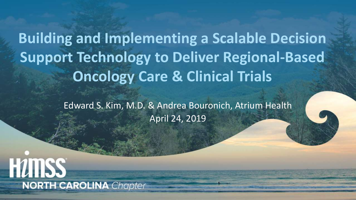**Building and Implementing a Scalable Decision Support Technology to Deliver Regional-Based Oncology Care & Clinical Trials** 

> Edward S. Kim, M.D. & Andrea Bouronich, Atrium Health April 24, 2019

**HUTISS NORTH CAROLINA** Chapter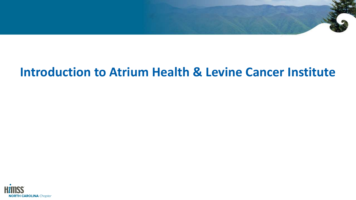

# **Introduction to Atrium Health & Levine Cancer Institute**

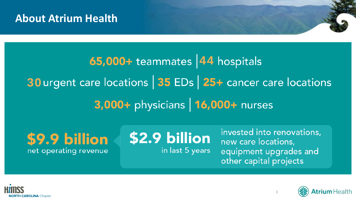#### **About Atrium Health**

# **44 44 30** urgent care locations 35 EDs 25+ cancer care locations 3,000+ physicians | 16,000+ nurses

\$9.9 billion net operating revenue

\$2.9 billion in last 5 years

invested into renovations, new care locations, equipment upgrades and other capital projects



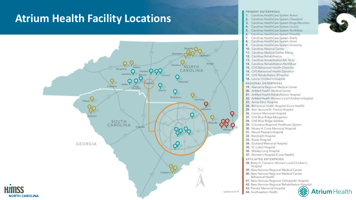#### **Atrium Health Facility Locations**





**Atrium** Health

43. Pender Memorial Hospital

44. Southeastern Health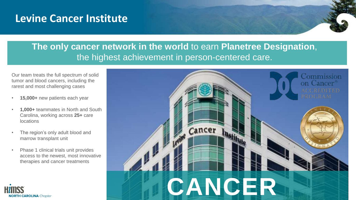#### **Levine Cancer Institute**

#### **The only cancer network in the world** to earn **Planetree Designation**, the highest achievement in person-centered care.

Our team treats the full spectrum of solid tumor and blood cancers, including the rarest and most challenging cases

- **15,000+** new patients each year
- **1,000+** teammates in North and South Carolina, working across **25+** care locations
- The region's only adult blood and marrow transplant unit

**NORTH CAROLINA** Chapter

• Phase 1 clinical trials unit provides access to the newest, most innovative therapies and cancer treatments

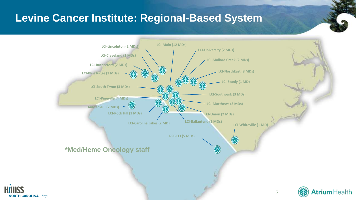#### **Levine Cancer Institute: Regional-Based System**



**NORTH CAROLINA** Chapi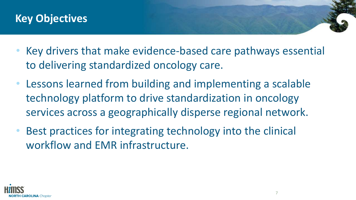#### **Key Objectives**

- Key drivers that make evidence-based care pathways essential to delivering standardized oncology care.
- Lessons learned from building and implementing a scalable technology platform to drive standardization in oncology services across a geographically disperse regional network.
- Best practices for integrating technology into the clinical workflow and EMR infrastructure.

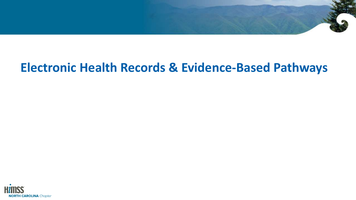# **Electronic Health Records & Evidence-Based Pathways**

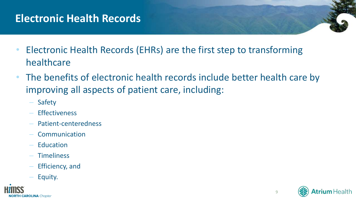#### **Electronic Health Records**

- Electronic Health Records (EHRs) are the first step to transforming healthcare
- The benefits of electronic health records include better health care by improving all aspects of patient care, including:
	- Safety
	- **Effectiveness**
	- Patient-centeredness
	- **Communication**
	- **Education**
	- **Timeliness**
	- Efficiency, and
	- Equity.



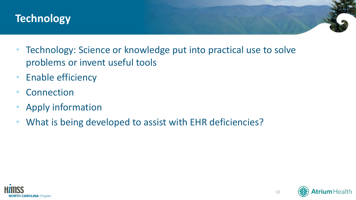#### **Technology**

- Technology: Science or knowledge put into practical use to solve problems or invent useful tools
- Enable efficiency
- Connection
- Apply information
- What is being developed to assist with EHR deficiencies?



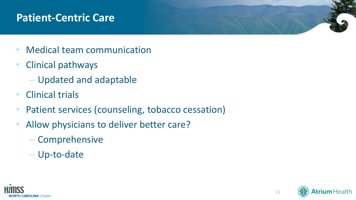#### **Patient-Centric Care**

- Medical team communication
- Clinical pathways
	- Updated and adaptable
- Clinical trials
- Patient services (counseling, tobacco cessation)
- Allow physicians to deliver better care?
	- Comprehensive
	- Up-to-date



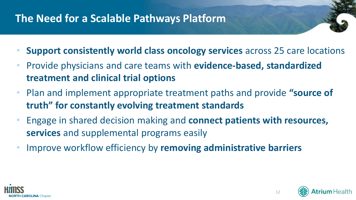# **The Need for a Scalable Pathways Platform**

- **Support consistently world class oncology services** across 25 care locations
- Provide physicians and care teams with **evidence-based, standardized treatment and clinical trial options**
- Plan and implement appropriate treatment paths and provide **"source of truth" for constantly evolving treatment standards**
- Engage in shared decision making and **connect patients with resources, services** and supplemental programs easily
- Improve workflow efficiency by **removing administrative barriers**



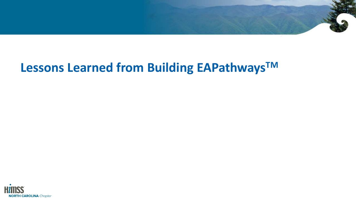

# **Lessons Learned from Building EAPathwaysTM**

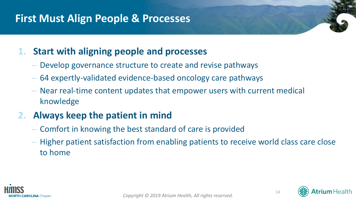#### **First Must Align People & Processes**

#### **1. Start with aligning people and processes**

- Develop governance structure to create and revise pathways
- 64 expertly-validated evidence-based oncology care pathways
- Near real-time content updates that empower users with current medical knowledge

#### **2. Always keep the patient in mind**

- Comfort in knowing the best standard of care is provided
- Higher patient satisfaction from enabling patients to receive world class care close to home







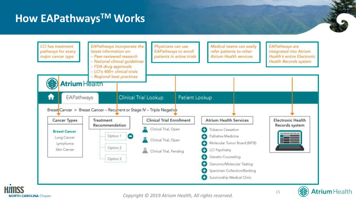#### **How EAPathwaysTM Works**





*Copyright © 2019 Atrium Health, All rights reserved.* 



**Atrium** Health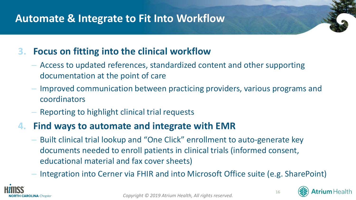#### **Automate & Integrate to Fit Into Workflow**

#### **3. Focus on fitting into the clinical workflow**

- Access to updated references, standardized content and other supporting documentation at the point of care
- Improved communication between practicing providers, various programs and coordinators
- Reporting to highlight clinical trial requests

#### **4. Find ways to automate and integrate with EMR**

- Built clinical trial lookup and "One Click" enrollment to auto-generate key documents needed to enroll patients in clinical trials (informed consent, educational material and fax cover sheets)
- Integration into Cerner via FHIR and into Microsoft Office suite (e.g. SharePoint)





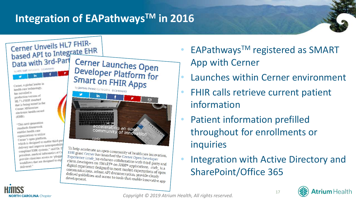### **Integration of EAPathwaysTM in 2016**



To help accelerate an open community of healthcare innovation,<br>EHR giant Cerner has launched the Cerner Open Day Launched EHR giant Cerner has launched the Cerner Open Developer<br>EHR giant Cerner has launched the Cerner Open Developer<br>Experience (code) to enhance collaboration with dividend Experience (*code*) to enhance collaboration per Developer<br>client developers on *SMART*® on *FHIR*® applications and digital experience during the digital experience during applications.  $\frac{L}{L}$  appearing (*code*) to enhance collaboration with third-party and<br>client developers on *SMART*® on *FHIR*® applications. *code* is a<br>communications and digital experience designed to meet market expectations. *code\_is a*<br>communications, robust API documentation. *nrovide* also defined guidelines and communications, robust API documentation, provide clearly<br>defined guidelines and access to tools that enable indefined guidelines and access to tools that enable innovative app<br>development.

- **EAPathways<sup>™</sup> registered as SMART** App with Cerner
- Launches within Cerner environment
- FHIR calls retrieve current patient information
- Patient information prefilled throughout for enrollments or inquiries
- Integration with Active Directory and SharePoint/Office 365



delivered."

compliant EHR systems.

president, medical lines<br>provide clinicians access to 'phiggs

provide clinicians accessigned to exp

(FHR)



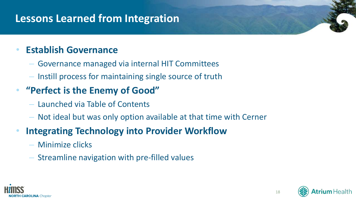#### **Lessons Learned from Integration**

#### • **Establish Governance**

- Governance managed via internal HIT Committees
- Instill process for maintaining single source of truth

#### • **"Perfect is the Enemy of Good"**

- Launched via Table of Contents
- Not ideal but was only option available at that time with Cerner

#### **Integrating Technology into Provider Workflow**

- Minimize clicks
- Streamline navigation with pre-filled values



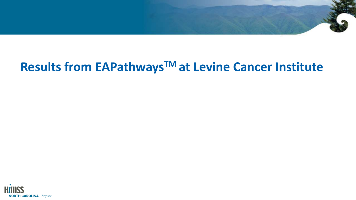# **Results from EAPathwaysTM at Levine Cancer Institute**

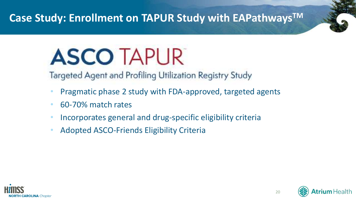#### **Case Study: Enrollment on TAPUR Study with EAPathwaysTM**

# **ASCO TAPUR**

Targeted Agent and Profiling Utilization Registry Study

- Pragmatic phase 2 study with FDA-approved, targeted agents
- 60-70% match rates
- Incorporates general and drug-specific eligibility criteria
- Adopted ASCO-Friends Eligibility Criteria



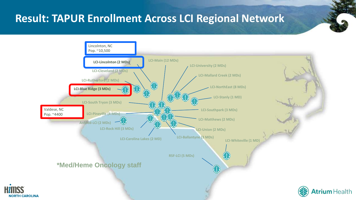#### **Result: TAPUR Enrollment Across LCI Regional Network**

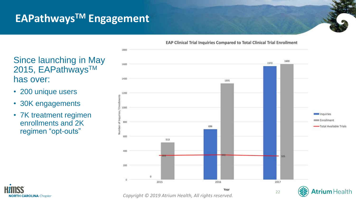# **EAPathwaysTM Engagement**



#### Since launching in May 2015, EAPathways™ has over:

- 200 unique users
- 30K engagements

**NORTH CAROLINA** Chapter

• 7K treatment regimen enrollments and 2K regimen "opt-outs"

*Copyright © 2019 Atrium Health, All rights reserved.* 

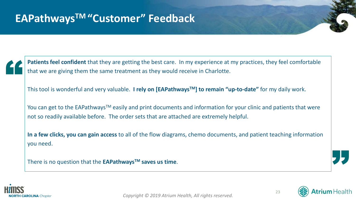

**Patients feel confident** that they are getting the best care. In my experience at my practices, they feel comfortable that we are giving them the same treatment as they would receive in Charlotte.

This tool is wonderful and very valuable. **I rely on [EAPathwaysTM] to remain "up-to-date"** for my daily work.

You can get to the EAPathways<sup>™</sup> easily and print documents and information for your clinic and patients that were not so readily available before. The order sets that are attached are extremely helpful.

**In a few clicks, you can gain access** to all of the flow diagrams, chemo documents, and patient teaching information you need.

There is no question that the **EAPathwaysTM saves us time**.





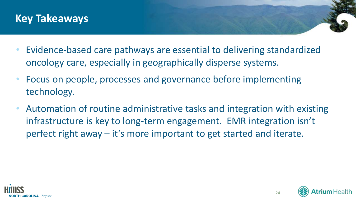

- Evidence-based care pathways are essential to delivering standardized oncology care, especially in geographically disperse systems.
- Focus on people, processes and governance before implementing technology.
- Automation of routine administrative tasks and integration with existing infrastructure is key to long-term engagement. EMR integration isn't perfect right away – it's more important to get started and iterate.